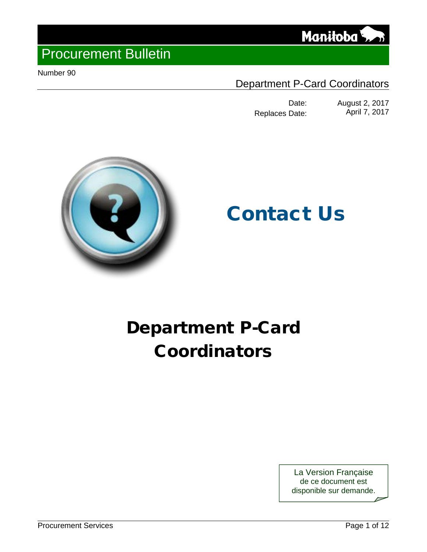

Number 90

### Department P-Card Coordinators

Date: August 2, 2017<br>Date: April 7, 2017 Replaces Date:

Manitoba<sup></sup>



# Contact Us

# Department P-Card Coordinators

La Version Française de ce document est disponible sur demande.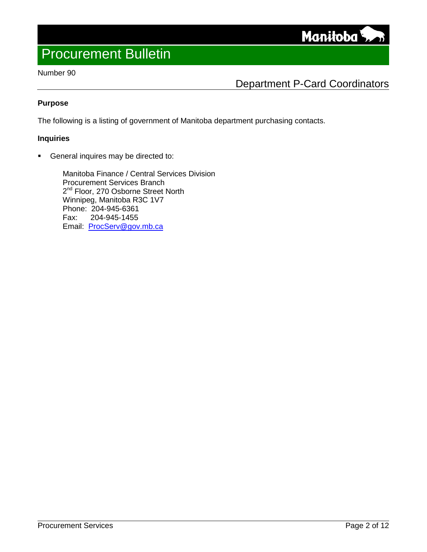**Manitoba** 

### Number 90

### Department P-Card Coordinators

### **Purpose**

The following is a listing of government of Manitoba department purchasing contacts.

#### **Inquiries**

General inquires may be directed to:

Manitoba Finance / Central Services Division Procurement Services Branch 2<sup>nd</sup> Floor, 270 Osborne Street North Winnipeg, Manitoba R3C 1V7 Phone: 204-945-6361 Fax: 204-945-1455 Email: [ProcServ@gov.mb.ca](mailto:ProcServ@gov.mb.ca)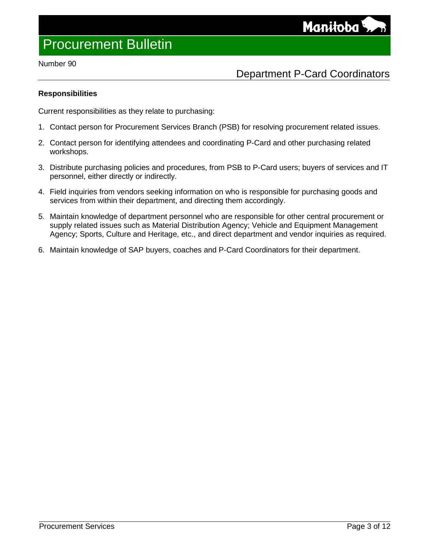#### Number 90

### Department P-Card Coordinators

### **Responsibilities**

Current responsibilities as they relate to purchasing:

- 1. Contact person for Procurement Services Branch (PSB) for resolving procurement related issues.
- 2. Contact person for identifying attendees and coordinating P-Card and other purchasing related workshops.
- 3. Distribute purchasing policies and procedures, from PSB to P-Card users; buyers of services and IT personnel, either directly or indirectly.
- 4. Field inquiries from vendors seeking information on who is responsible for purchasing goods and services from within their department, and directing them accordingly.
- 5. Maintain knowledge of department personnel who are responsible for other central procurement or supply related issues such as Material Distribution Agency; Vehicle and Equipment Management Agency; Sports, Culture and Heritage, etc., and direct department and vendor inquiries as required.
- 6. Maintain knowledge of SAP buyers, coaches and P-Card Coordinators for their department.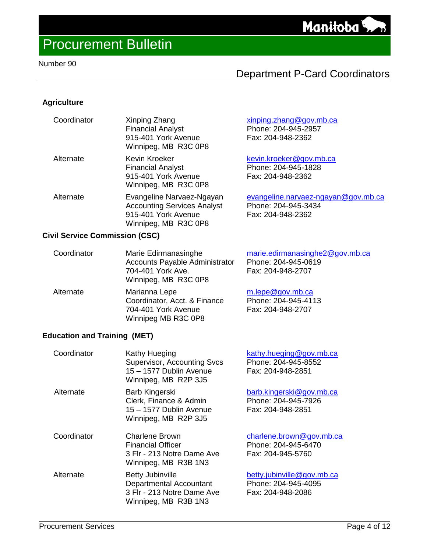### Number 90

### Department P-Card Coordinators

### **Agriculture**

| Coordinator | Xinping Zhang<br><b>Financial Analyst</b><br>915-401 York Avenue<br>Winnipeg, MB R3C 0P8                       | xinping.zhang@gov.mb.ca<br>Phone: 204-945-2957<br>Fax: 204-948-2362             |
|-------------|----------------------------------------------------------------------------------------------------------------|---------------------------------------------------------------------------------|
| Alternate   | Kevin Kroeker<br><b>Financial Analyst</b><br>915-401 York Avenue<br>Winnipeg, MB R3C 0P8                       | kevin.kroeker@gov.mb.ca<br>Phone: 204-945-1828<br>Fax: 204-948-2362             |
| Alternate   | Evangeline Narvaez-Ngayan<br><b>Accounting Services Analyst</b><br>915-401 York Avenue<br>Winnipeg, MB R3C 0P8 | evangeline.narvaez-ngayan@gov.mb.ca<br>Phone: 204-945-3434<br>Fax: 204-948-2362 |

### **Civil Service Commission (CSC)**

| Coordinator | Marie Edirmanasinghe<br><b>Accounts Payable Administrator</b><br>704-401 York Ave.<br>Winnipeg, MB R3C 0P8 | marie.edirmanasinghe2@gov.mb.ca<br>Phone: 204-945-0619<br>Fax: 204-948-2707 |
|-------------|------------------------------------------------------------------------------------------------------------|-----------------------------------------------------------------------------|
| Alternate   | Marianna Lepe<br>Coordinator, Acct. & Finance<br>704-401 York Avenue<br>Winnipeg MB R3C 0P8                | m.lepe@gov.mb.ca<br>Phone: 204-945-4113<br>Fax: 204-948-2707                |

### **Education and Training (MET)**

| Coordinator | Kathy Hueging<br><b>Supervisor, Accounting Svcs</b><br>15 – 1577 Dublin Avenue<br>Winnipeg, MB R2P 3J5   | kathy.hueging@gov.mb.ca<br>Phone: 204-945-8552<br>Fax: 204-948-2851    |
|-------------|----------------------------------------------------------------------------------------------------------|------------------------------------------------------------------------|
| Alternate   | Barb Kingerski<br>Clerk, Finance & Admin<br>15 - 1577 Dublin Avenue<br>Winnipeg, MB R2P 3J5              | barb.kingerski@gov.mb.ca<br>Phone: 204-945-7926<br>Fax: 204-948-2851   |
| Coordinator | Charlene Brown<br><b>Financial Officer</b><br>3 Flr - 213 Notre Dame Ave<br>Winnipeg, MB R3B 1N3         | charlene.brown@gov.mb.ca<br>Phone: 204-945-6470<br>Fax: 204-945-5760   |
| Alternate   | <b>Betty Jubinville</b><br>Departmental Accountant<br>3 Flr - 213 Notre Dame Ave<br>Winnipeg, MB R3B 1N3 | betty.jubinville@gov.mb.ca<br>Phone: 204-945-4095<br>Fax: 204-948-2086 |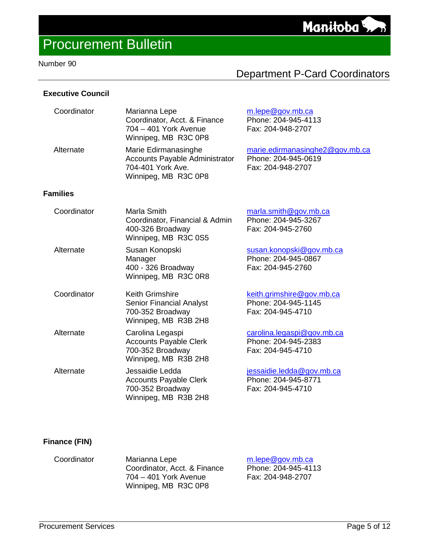### Number 90

### Department P-Card Coordinators

### **Executive Council**

| Coordinator     | Marianna Lepe<br>Coordinator, Acct. & Finance<br>704 - 401 York Avenue<br>Winnipeg, MB R3C 0P8             | m.lepe@gov.mb.ca<br>Phone: 204-945-4113<br>Fax: 204-948-2707                |
|-----------------|------------------------------------------------------------------------------------------------------------|-----------------------------------------------------------------------------|
| Alternate       | Marie Edirmanasinghe<br><b>Accounts Payable Administrator</b><br>704-401 York Ave.<br>Winnipeg, MB R3C 0P8 | marie.edirmanasinghe2@gov.mb.ca<br>Phone: 204-945-0619<br>Fax: 204-948-2707 |
| <b>Families</b> |                                                                                                            |                                                                             |
| Coordinator     | Marla Smith<br>Coordinator, Financial & Admin<br>400-326 Broadway<br>Winnipeg, MB R3C 0S5                  | marla.smith@gov.mb.ca<br>Phone: 204-945-3267<br>Fax: 204-945-2760           |
| Alternate       | Susan Konopski<br>Manager<br>400 - 326 Broadway<br>Winnipeg, MB R3C 0R8                                    | susan.konopski@gov.mb.ca<br>Phone: 204-945-0867<br>Fax: 204-945-2760        |
| Coordinator     | <b>Keith Grimshire</b><br>Senior Financial Analyst<br>700-352 Broadway<br>Winnipeg, MB R3B 2H8             | keith.grimshire@gov.mb.ca<br>Phone: 204-945-1145<br>Fax: 204-945-4710       |
| Alternate       | Carolina Legaspi<br><b>Accounts Payable Clerk</b><br>700-352 Broadway<br>Winnipeg, MB R3B 2H8              | carolina.legaspi@gov.mb.ca<br>Phone: 204-945-2383<br>Fax: 204-945-4710      |
| Alternate       | Jessaidie Ledda<br><b>Accounts Payable Clerk</b><br>700-352 Broadway<br>Winnipeg, MB R3B 2H8               | jessaidie.ledda@gov.mb.ca<br>Phone: 204-945-8771<br>Fax: 204-945-4710       |

### **Finance (FIN)**

| Coordinator | Marianna Lepe                | $m$ .lepe@gov.mb.ca |
|-------------|------------------------------|---------------------|
|             | Coordinator, Acct. & Finance | Phone: 204-945-4113 |
|             | 704 – 401 York Avenue        | Fax: 204-948-2707   |
|             | Winnipeg, MB R3C 0P8         |                     |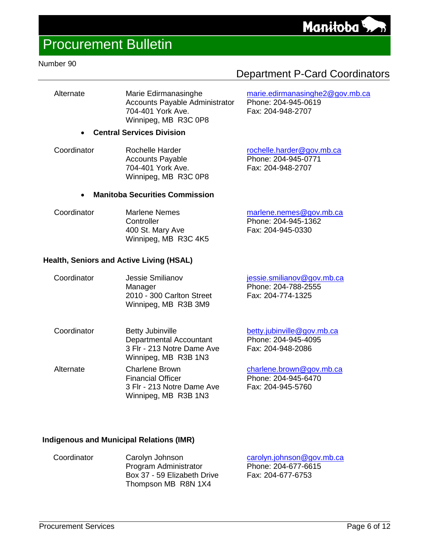[marie.edirmanasinghe2@gov.mb.ca](mailto:marie.edirmanasinghe2@gov.mb.ca)

Phone: 204-945-0619 Fax: 204-948-2707

### Procurement Bulletin

### Number 90

Alternate Marie Edirmanasinghe Accounts Payable Administrator 704-401 York Ave. Winnipeg, MB R3C 0P8

### • **Central Services Division**

Coordinator Rochelle Harder Accounts Payable 704-401 York Ave. Winnipeg, MB R3C 0P8 [rochelle.harder@gov.mb.ca](mailto:rochelle.harder@gov.mb.ca) Phone: 204-945-0771 Fax: 204-948-2707

### • **Manitoba Securities Commission**

Coordinator Marlene Nemes **Controller** 400 St. Mary Ave Winnipeg, MB R3C 4K5 [marlene.nemes@gov.mb.ca](mailto:marlene.nemes@gov.mb.ca) Phone: 204-945-1362 Fax: 204-945-0330

### **Health, Seniors and Active Living (HSAL)**

| Coordinator | Jessie Smilianov          | jessie.smilianov@gov.mb.ca |
|-------------|---------------------------|----------------------------|
|             | Manager                   | Phone: 204-788-2555        |
|             | 2010 - 300 Carlton Street | Fax: 204-774-1325          |
|             | Winnipeg, MB R3B 3M9      |                            |
|             |                           |                            |

| Coordinator | <b>Betty Jubinville</b>                            | betty.jubinville@gov.mb.ca |
|-------------|----------------------------------------------------|----------------------------|
|             | Departmental Accountant                            | Phone: 204-945-4095        |
|             | 3 Flr - 213 Notre Dame Ave<br>Winnipeg, MB R3B 1N3 | Fax: 204-948-2086          |
| Alternate   | <b>Charlene Brown</b>                              | charlene.brown@gov.mb.ca   |
|             | <b>Financial Officer</b>                           | Phone: 204-945-6470        |

3 Flr - 213 Notre Dame Ave Winnipeg, MB R3B 1N3

### **Indigenous and Municipal Relations (IMR)**

| Coordinator | Carolyn Johnson             |
|-------------|-----------------------------|
|             | Program Administrator       |
|             | Box 37 - 59 Elizabeth Drive |
|             | Thompson MB R8N 1X4         |

[carolyn.johnson@gov.mb.ca](mailto:carolyn.johnson@gov.mb.ca) Phone: 204-677-6615 Fax: 204-677-6753

Fax: 204-945-5760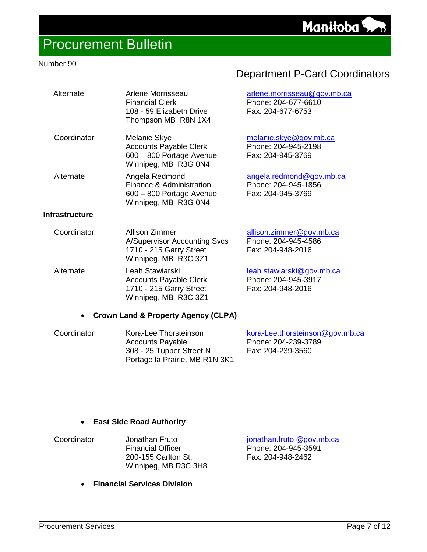## Procurement Bulletin

### Number 90

| Alternate             | Arlene Morrisseau<br><b>Financial Clerk</b><br>108 - 59 Elizabeth Drive<br>Thompson MB R8N 1X4           | arlene.morrisseau@gov.mb.ca<br>Phone: 204-677-6610<br>Fax: 204-677-6753 |
|-----------------------|----------------------------------------------------------------------------------------------------------|-------------------------------------------------------------------------|
| Coordinator           | Melanie Skye<br><b>Accounts Payable Clerk</b><br>600 - 800 Portage Avenue<br>Winnipeg, MB R3G 0N4        | melanie.skye@gov.mb.ca<br>Phone: 204-945-2198<br>Fax: 204-945-3769      |
| Alternate             | Angela Redmond<br>Finance & Administration<br>600 - 800 Portage Avenue<br>Winnipeg, MB R3G 0N4           | angela.redmond@gov.mb.ca<br>Phone: 204-945-1856<br>Fax: 204-945-3769    |
| <b>Infrastructure</b> |                                                                                                          |                                                                         |
| Coordinator           | Allison Zimmer<br><b>A/Supervisor Accounting Svcs</b><br>1710 - 215 Garry Street<br>Winnipeg, MB R3C 3Z1 | allison.zimmer@gov.mb.ca<br>Phone: 204-945-4586<br>Fax: 204-948-2016    |
| Alternate             | Leah Stawiarski<br><b>Accounts Payable Clerk</b><br>1710 - 215 Garry Street<br>Winnipeg, MB R3C 3Z1      | leah.stawiarski@gov.mb.ca<br>Phone: 204-945-3917<br>Fax: 204-948-2016   |
| $\bullet$             | <b>Crown Land &amp; Property Agency (CLPA)</b>                                                           |                                                                         |

| Kora-Lee Thorsteinson          | kora-Lee.thorsteinson@gov.mb.ca |
|--------------------------------|---------------------------------|
| <b>Accounts Payable</b>        | Phone: 204-239-3789             |
| 308 - 25 Tupper Street N       | Fax: 204-239-3560               |
| Portage la Prairie, MB R1N 3K1 |                                 |
|                                |                                 |

### • **East Side Road Authority**

| Coordinator | Jonathan Fruto           |
|-------------|--------------------------|
|             | <b>Financial Officer</b> |
|             | 200-155 Carlton St.      |
|             | Winnipeg, MB R3C 3H8     |

• **Financial Services Division**

[jonathan.fruto @gov.mb.ca](mailto:jocelyn.kehler@gov.mb.ca) Phone: 204-945-3591 Fax: 204-948-2462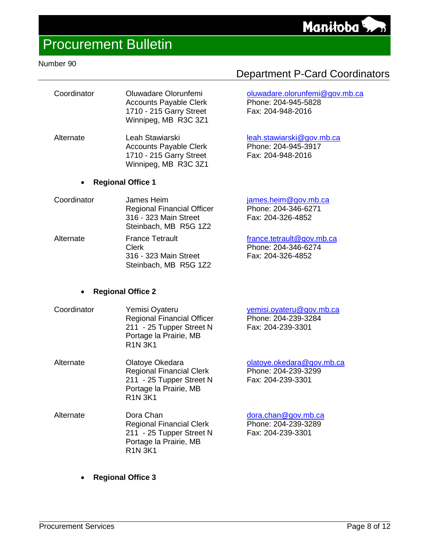[oluwadare.olorunfemi@gov.mb.ca](mailto:oluwadare.olorunfemi@gov.mb.ca)

Phone: 204-945-5828 Fax: 204-948-2016

[leah.stawiarski@gov.mb.ca](mailto:leah.stawiarski@gov.mb.ca) Phone: 204-945-3917 Fax: 204-948-2016

### Procurement Bulletin

### Number 90

| Coordinator | Oluwadare Olorunfemi          |
|-------------|-------------------------------|
|             | <b>Accounts Payable Clerk</b> |
|             | 1710 - 215 Garry Street       |
|             | Winnipeg, MB R3C 3Z1          |
|             |                               |

Alternate Leah Stawiarski Accounts Payable Clerk 1710 - 215 Garry Street Winnipeg, MB R3C 3Z1

#### • **Regional Office 1**

- Coordinator James Heim Regional Financial Officer 316 - 323 Main Street Steinbach, MB R5G 1Z2 [james.heim@gov.mb.ca](mailto:james.heim@gov.mb.ca) Phone: 204-346-6271 Fax: 204-326-4852 Alternate France Tetrault [france.tetrault@gov.mb.ca](mailto:france.tetrault@gov.mb.ca)
- Clerk 316 - 323 Main Street Steinbach, MB R5G 1Z2 Phone: 204-346-6274 Fax: 204-326-4852

### • **Regional Office 2**

| Coordinator | Yemisi Oyateru<br><b>Regional Financial Officer</b><br>211 - 25 Tupper Street N<br>Portage la Prairie, MB<br><b>R1N 3K1</b> | yemisi.oyateru@gov.mb.ca<br>Phone: 204-239-3284<br>Fax: 204-239-3301 |
|-------------|-----------------------------------------------------------------------------------------------------------------------------|----------------------------------------------------------------------|
| Alternate   | Olatoye Okedara                                                                                                             | olatoye.okedara@gov.mb.ca                                            |
|             | <b>Regional Financial Clerk</b>                                                                                             | Phone: 204-239-3299                                                  |
|             | 211 25 Tunner Ctroot N                                                                                                      | $E_{\Delta V}$ , 201.220.2201                                        |

- 211 25 Tupper Street N Portage la Prairie, MB R1N 3K1 Fax: 204-239-3301
- Alternate Dora Chan Regional Financial Clerk 211 - 25 Tupper Street N Portage la Prairie, MB R1N 3K1 [dora.chan@gov.mb.ca](mailto:dora.chan@gov.mb.ca) Phone: 204-239-3289 Fax: 204-239-3301
	- **Regional Office 3**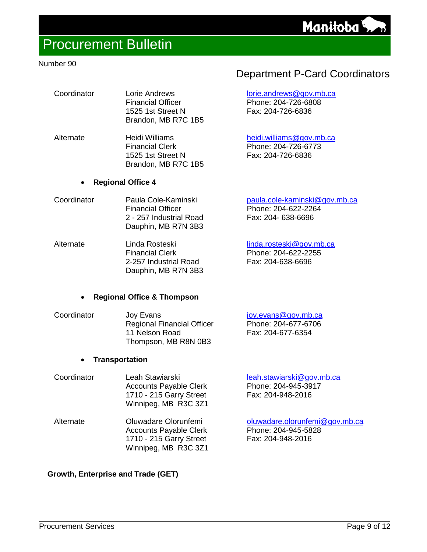### Number 90

| Coordinator | Lorie Andrews            |
|-------------|--------------------------|
|             | <b>Financial Officer</b> |
|             | 1525 1st Street N        |
|             | Brandon, MB R7C 1B5      |

Alternate Heidi Williams Financial Clerk 1525 1st Street N Brandon, MB R7C 1B5

### • **Regional Office 4**

- Coordinator Paula Cole-Kaminski Financial Officer 2 - 257 Industrial Road Dauphin, MB R7N 3B3
- Alternate Linda Rosteski Financial Clerk 2-257 Industrial Road Dauphin, MB R7N 3B3 Phone: 204-622-2255 Fax: 204-638-6696

### • **Regional Office & Thompson**

| Coordinator | Joy Evans                         | joy.evans@gov.mb.ca |
|-------------|-----------------------------------|---------------------|
|             | <b>Regional Financial Officer</b> | Phone: 204-677-6706 |
|             | 11 Nelson Road                    | Fax: 204-677-6354   |
|             | Thompson, MB R8N 0B3              |                     |

### • **Transportation**

| Coordinator | Leah Stawiarski                                 | leah.stawiarski@gov.mb.ca |
|-------------|-------------------------------------------------|---------------------------|
|             | <b>Accounts Payable Clerk</b>                   | Phone: 204-945-3917       |
|             | 1710 - 215 Garry Street<br>Winnipeg, MB R3C 3Z1 | Fax: 204-948-2016         |
|             |                                                 |                           |

Alternate Oluwadare Olorunfemi Accounts Payable Clerk 1710 - 215 Garry Street Winnipeg, MB R3C 3Z1

### **Growth, Enterprise and Trade (GET)**

### Department P-Card Coordinators

### [lorie.andrews@gov.mb.ca](mailto:lorie.andrews@gov.mb.ca)

Phone: 204-726-6808 Fax: 204-726-6836

### [heidi.williams@gov.mb.ca](mailto:donna.preston@gov.mb.ca)

Phone: 204-726-6773 Fax: 204-726-6836

| paula.cole-kaminski@gov.mb.ca |
|-------------------------------|
| Phone: 204-622-2264           |
| Fax: 204- 638-6696            |
|                               |

### [linda.rosteski@gov.mb.ca](mailto:linda.rosteski@gov.mb.ca)

[oluwadare.olorunfemi@gov.mb.ca](mailto:oluwadare.olorunfemi@gov.mb.ca) Phone: 204-945-5828 Fax: 204-948-2016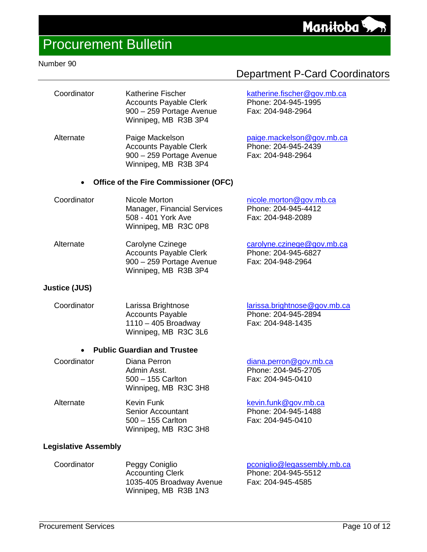[katherine.fischer@gov.mb.ca](mailto:katherine.fischer@gov.mb.ca)

[paige.mackelson@gov.mb.ca](mailto:paige.mackelson@gov.mb.ca)

Phone: 204-945-1995 Fax: 204-948-2964

Phone: 204-945-2439 Fax: 204-948-2964

### Procurement Bulletin

#### Number 90

| Coordinator | Katherine Fischer             |
|-------------|-------------------------------|
|             | <b>Accounts Payable Clerk</b> |
|             | 900 - 259 Portage Avenue      |
|             | Winnipeg, MB R3B 3P4          |

Alternate Paige Mackelson Accounts Payable Clerk 900 – 259 Portage Avenue Winnipeg, MB R3B 3P4

#### • **Office of the Fire Commissioner (OFC)**

| Coordinator | Nicole Morton               | nicole.morton@gov.mb.ca |
|-------------|-----------------------------|-------------------------|
|             | Manager, Financial Services | Phone: 204-945-4412     |
|             | 508 - 401 York Ave          | Fax: 204-948-2089       |
|             | Winnipeg, MB R3C 0P8        |                         |

| Alternate | Carolyne Czinege              | carolyne.czinege@gov.mb.ca |
|-----------|-------------------------------|----------------------------|
|           | <b>Accounts Payable Clerk</b> | Phone: 204-945-6827        |
|           | 900 – 259 Portage Avenue      | Fax: 204-948-2964          |
|           | Winnipeg, MB R3B 3P4          |                            |

### **Justice (JUS)**

| Coordinator | Larissa Brightnose                            | larissa.brightnose@gov.mb.ca |
|-------------|-----------------------------------------------|------------------------------|
|             | <b>Accounts Payable</b>                       | Phone: 204-945-2894          |
|             | $1110 - 405$ Broadway<br>Winnipeg, MB R3C 3L6 | Fax: 204-948-1435            |
|             |                                               |                              |

### • **Public Guardian and Trustee**

| Coordinator | Diana Perron                                                  | diana.perron@gov.mb.ca                                           |
|-------------|---------------------------------------------------------------|------------------------------------------------------------------|
|             | Admin Asst.                                                   | Phone: 204-945-2705                                              |
|             | $500 - 155$ Carlton<br>Winnipeg, MB R3C 3H8                   | Fax: 204-945-0410                                                |
| Alternate   | Kevin Funk<br><b>Senior Accountant</b><br>$500 - 155$ Carlton | kevin.funk@gov.mb.ca<br>Phone: 204-945-1488<br>Fax: 204-945-0410 |

Winnipeg, MB R3C 3H8

#### **Legislative Assembly**

| Coordinator | Peggy Coniglio<br><b>Accounting Clerk</b>        | pconiglio@legassembly.mb.ca<br>Phone: 204-945-5512 |
|-------------|--------------------------------------------------|----------------------------------------------------|
|             | 1035-405 Broadway Avenue<br>Winnipeg, MB R3B 1N3 | Fax: 204-945-4585                                  |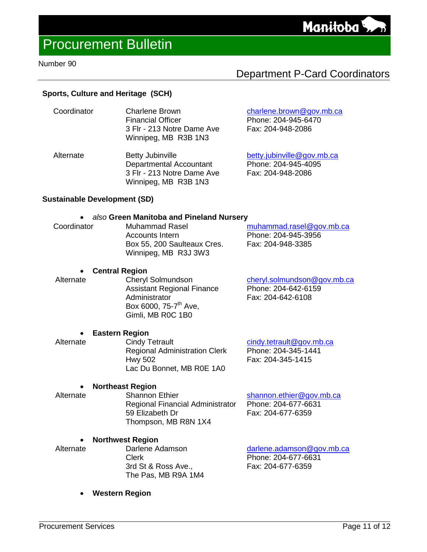#### Number 90

### Department P-Card Coordinators

Manitoba

### **Sports, Culture and Heritage (SCH)**

| Coordinator | <b>Charlene Brown</b><br><b>Financial Officer</b><br>3 Flr - 213 Notre Dame Ave<br>Winnipeg, MB R3B 1N3 | charlene.brown@gov.mb.ca<br>Phone: 204-945-6470<br>Fax: 204-948-2086 |
|-------------|---------------------------------------------------------------------------------------------------------|----------------------------------------------------------------------|
| Alternate   | <b>Betty Jubinville</b>                                                                                 | betty.jubinville@gov.mb.ca                                           |

Departmental Accountant 3 Flr - 213 Notre Dame Ave Winnipeg, MB R3B 1N3

### **Sustainable Development (SD)**

#### • *also* **Green Manitoba and Pineland Nursery**

| Coordinator | Muhammad Rasel              | muhammad.rasel@gov.mb.ca |
|-------------|-----------------------------|--------------------------|
|             | Accounts Intern             | Phone: 204-945-3956      |
|             | Box 55, 200 Saulteaux Cres. | Fax: 204-948-3385        |
|             | Winnipeg, MB R3J 3W3        |                          |

### **• Central Region**<br>Alternate Chervl

Cheryl Solmundson Assistant Regional Finance **Administrator** Box 6000, 75-7<sup>th</sup> Ave, Gimli, MB R0C 1B0

[cheryl.solmundson@gov.mb.ca](mailto:cheryl.solmundson@gov.mb.ca) Phone: 204-642-6159 Fax: 204-642-6108

## **• Eastern Region**<br>[ Alternate **Cindy**

**Cindy Tetrault** Regional Administration Clerk Hwy 502 Lac Du Bonnet, MB R0E 1A0

[cindy.tetrault@gov.mb.ca](mailto:cindy.tetrault@gov.mb.ca) Phone: 204-345-1441 Fax: 204-345-1415

Phone: 204-945-4095 Fax: 204-948-2086

### **• Northeast Region**<br>Alternate Shannon

Shannon Ethier Regional Financial Administrator 59 Elizabeth Dr Thompson, MB R8N 1X4

[shannon.ethier@gov.mb.ca](mailto:shannon.ethier@gov.mb.ca) Phone: 204-677-6631 Fax: 204-677-6359

#### • **Northwest Region**

 Alternate Darlene Adamson Clerk 3rd St & Ross Ave., The Pas, MB R9A 1M4

[darlene.adamson@gov.mb.ca](mailto:darlene.adamson@gov.mb.ca) Phone: 204-677-6631 Fax: 204-677-6359

• **Western Region**